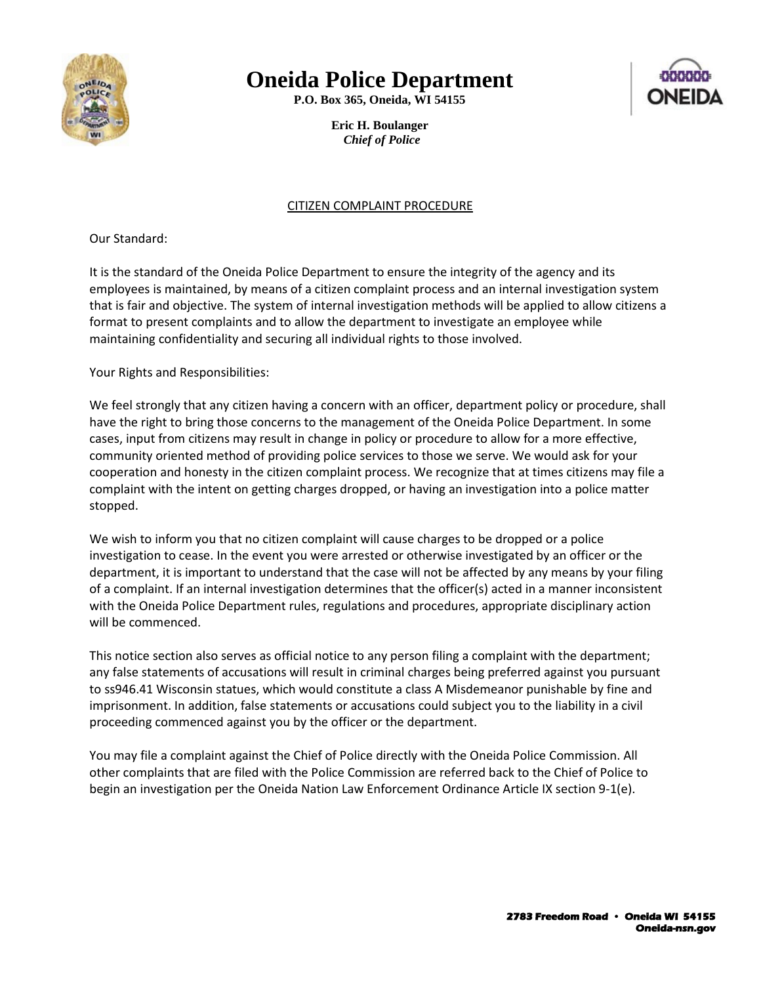

# **Oneida Police Department**

**P.O. Box 365, Oneida, WI 54155**



**Eric H. Boulanger** *Chief of Police*

#### CITIZEN COMPLAINT PROCEDURE

Our Standard:

It is the standard of the Oneida Police Department to ensure the integrity of the agency and its employees is maintained, by means of a citizen complaint process and an internal investigation system that is fair and objective. The system of internal investigation methods will be applied to allow citizens a format to present complaints and to allow the department to investigate an employee while maintaining confidentiality and securing all individual rights to those involved.

Your Rights and Responsibilities:

We feel strongly that any citizen having a concern with an officer, department policy or procedure, shall have the right to bring those concerns to the management of the Oneida Police Department. In some cases, input from citizens may result in change in policy or procedure to allow for a more effective, community oriented method of providing police services to those we serve. We would ask for your cooperation and honesty in the citizen complaint process. We recognize that at times citizens may file a complaint with the intent on getting charges dropped, or having an investigation into a police matter stopped.

We wish to inform you that no citizen complaint will cause charges to be dropped or a police investigation to cease. In the event you were arrested or otherwise investigated by an officer or the department, it is important to understand that the case will not be affected by any means by your filing of a complaint. If an internal investigation determines that the officer(s) acted in a manner inconsistent with the Oneida Police Department rules, regulations and procedures, appropriate disciplinary action will be commenced.

This notice section also serves as official notice to any person filing a complaint with the department; any false statements of accusations will result in criminal charges being preferred against you pursuant to ss946.41 Wisconsin statues, which would constitute a class A Misdemeanor punishable by fine and imprisonment. In addition, false statements or accusations could subject you to the liability in a civil proceeding commenced against you by the officer or the department.

You may file a complaint against the Chief of Police directly with the Oneida Police Commission. All other complaints that are filed with the Police Commission are referred back to the Chief of Police to begin an investigation per the Oneida Nation Law Enforcement Ordinance Article IX section 9-1(e).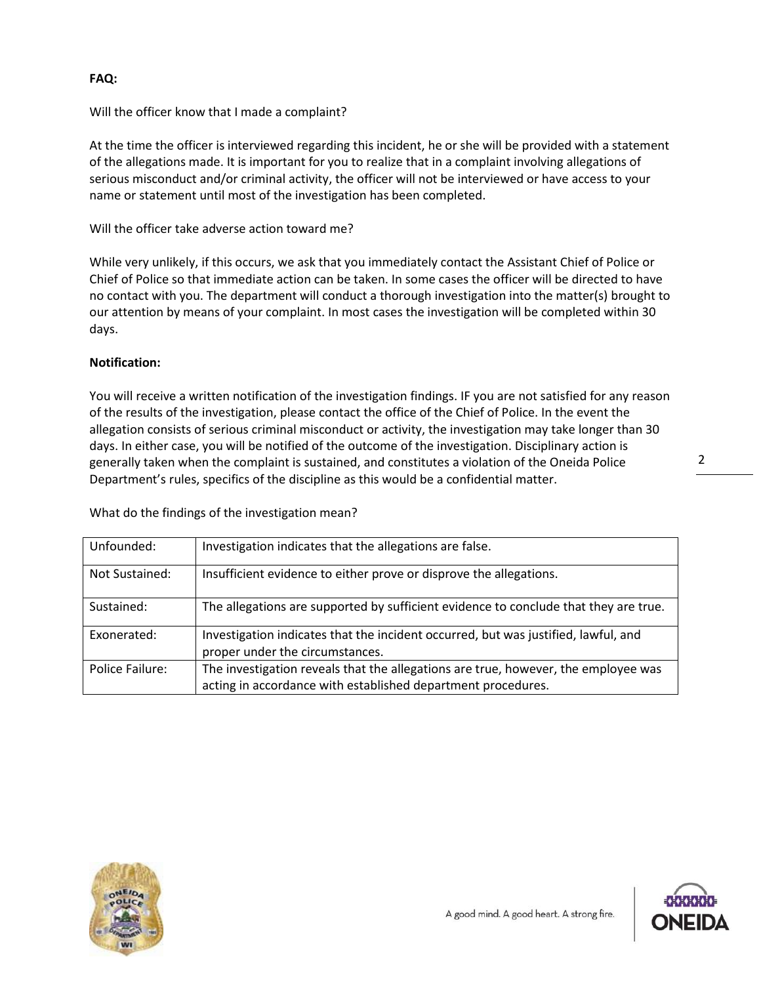### **FAQ:**

Will the officer know that I made a complaint?

At the time the officer is interviewed regarding this incident, he or she will be provided with a statement of the allegations made. It is important for you to realize that in a complaint involving allegations of serious misconduct and/or criminal activity, the officer will not be interviewed or have access to your name or statement until most of the investigation has been completed.

Will the officer take adverse action toward me?

While very unlikely, if this occurs, we ask that you immediately contact the Assistant Chief of Police or Chief of Police so that immediate action can be taken. In some cases the officer will be directed to have no contact with you. The department will conduct a thorough investigation into the matter(s) brought to our attention by means of your complaint. In most cases the investigation will be completed within 30 days.

#### **Notification:**

You will receive a written notification of the investigation findings. IF you are not satisfied for any reason of the results of the investigation, please contact the office of the Chief of Police. In the event the allegation consists of serious criminal misconduct or activity, the investigation may take longer than 30 days. In either case, you will be notified of the outcome of the investigation. Disciplinary action is generally taken when the complaint is sustained, and constitutes a violation of the Oneida Police Department's rules, specifics of the discipline as this would be a confidential matter.

What do the findings of the investigation mean?

| Unfounded:      | Investigation indicates that the allegations are false.                                                                                            |
|-----------------|----------------------------------------------------------------------------------------------------------------------------------------------------|
| Not Sustained:  | Insufficient evidence to either prove or disprove the allegations.                                                                                 |
| Sustained:      | The allegations are supported by sufficient evidence to conclude that they are true.                                                               |
| Exonerated:     | Investigation indicates that the incident occurred, but was justified, lawful, and<br>proper under the circumstances.                              |
| Police Failure: | The investigation reveals that the allegations are true, however, the employee was<br>acting in accordance with established department procedures. |



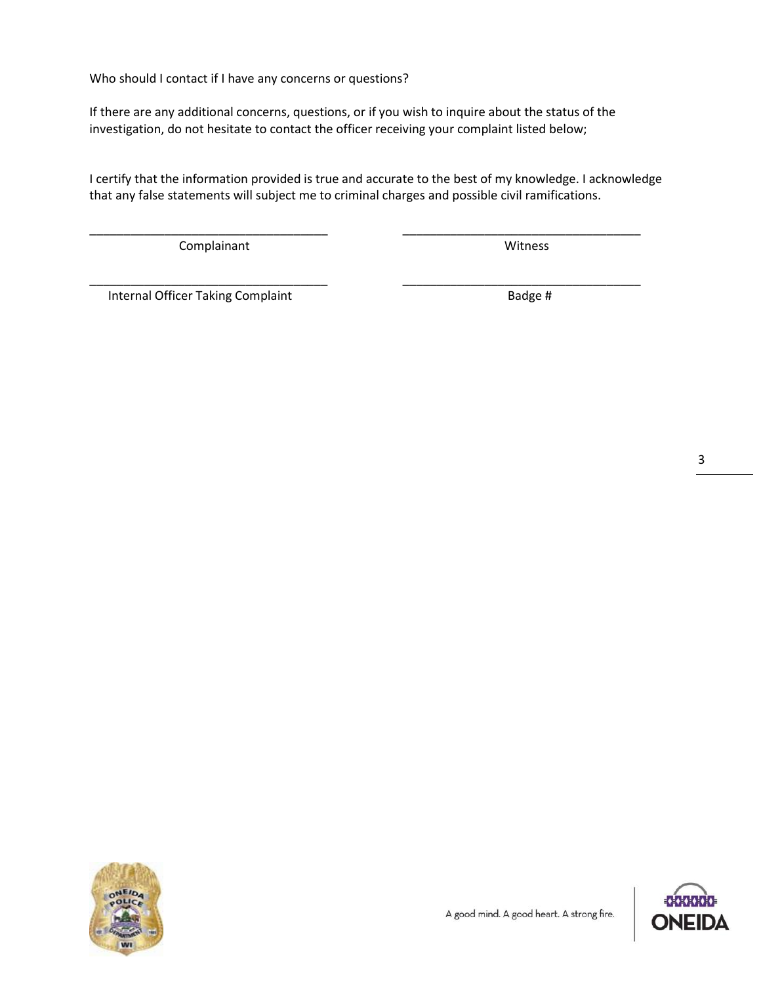Who should I contact if I have any concerns or questions?

If there are any additional concerns, questions, or if you wish to inquire about the status of the investigation, do not hesitate to contact the officer receiving your complaint listed below;

I certify that the information provided is true and accurate to the best of my knowledge. I acknowledge that any false statements will subject me to criminal charges and possible civil ramifications.

\_\_\_\_\_\_\_\_\_\_\_\_\_\_\_\_\_\_\_\_\_\_\_\_\_\_\_\_\_\_\_\_\_\_\_ \_\_\_\_\_\_\_\_\_\_\_\_\_\_\_\_\_\_\_\_\_\_\_\_\_\_\_\_\_\_\_\_\_\_\_

\_\_\_\_\_\_\_\_\_\_\_\_\_\_\_\_\_\_\_\_\_\_\_\_\_\_\_\_\_\_\_\_\_\_\_ \_\_\_\_\_\_\_\_\_\_\_\_\_\_\_\_\_\_\_\_\_\_\_\_\_\_\_\_\_\_\_\_\_\_\_

Complainant Witness

Internal Officer Taking Complaint Badge #



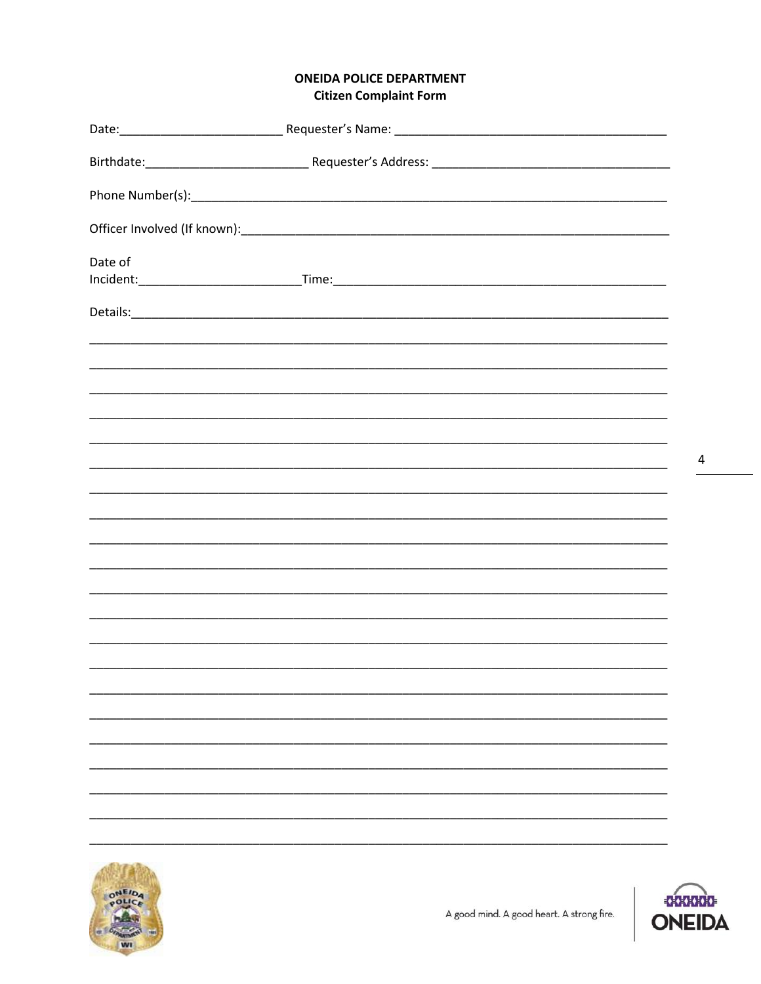## **ONEIDA POLICE DEPARTMENT Citizen Complaint Form**

| Date of |                                                                                                                                                       |
|---------|-------------------------------------------------------------------------------------------------------------------------------------------------------|
|         |                                                                                                                                                       |
|         |                                                                                                                                                       |
|         |                                                                                                                                                       |
|         |                                                                                                                                                       |
|         |                                                                                                                                                       |
|         |                                                                                                                                                       |
|         | ,我们也不能在这里的时候,我们也不能在这里的时候,我们也不能在这里的时候,我们也不能会不能会不能会不能会不能会不能会不能会不能会。<br>第2012章 我们的时候,我们的时候,我们的时候,我们的时候,我们的时候,我们的时候,我们的时候,我们的时候,我们的时候,我们的时候,我们的时候,我们的时候,我 |
|         |                                                                                                                                                       |
|         |                                                                                                                                                       |
|         | ,我们也不能在这里的,我们也不能在这里的,我们也不能在这里的,我们也不能不能不能不能不能不能不能不能不能不能。""我们,我们也不能不能不能不能不能不能不能不能不                                                                      |
|         |                                                                                                                                                       |
|         |                                                                                                                                                       |
|         |                                                                                                                                                       |
|         |                                                                                                                                                       |
|         |                                                                                                                                                       |
|         |                                                                                                                                                       |
|         |                                                                                                                                                       |
|         |                                                                                                                                                       |

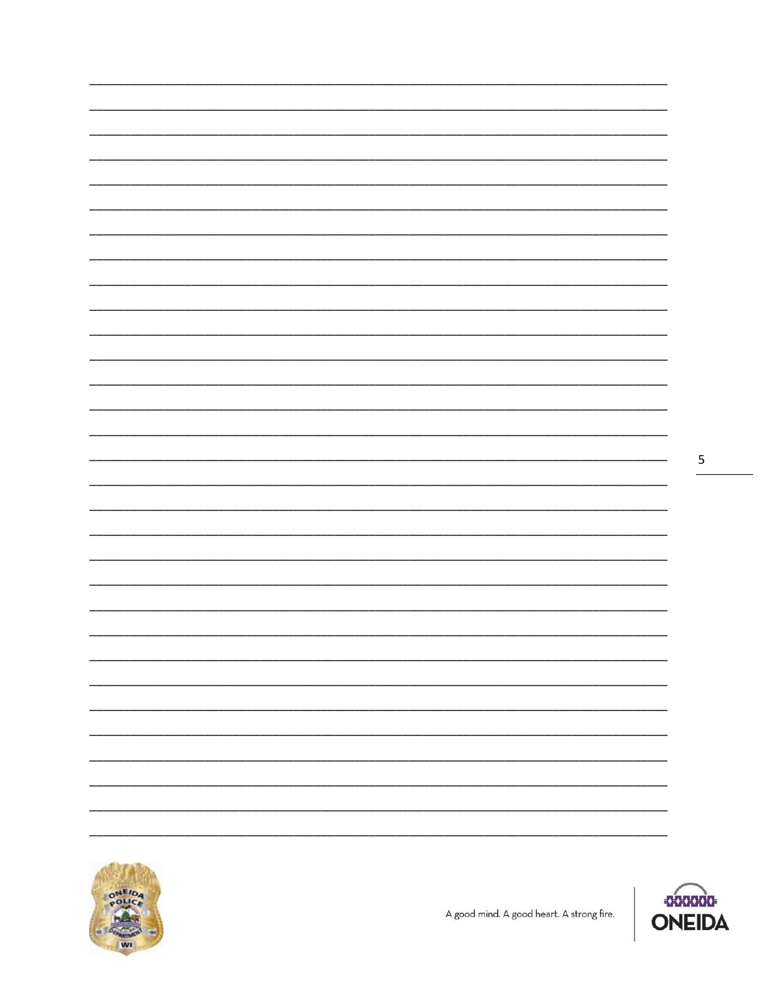

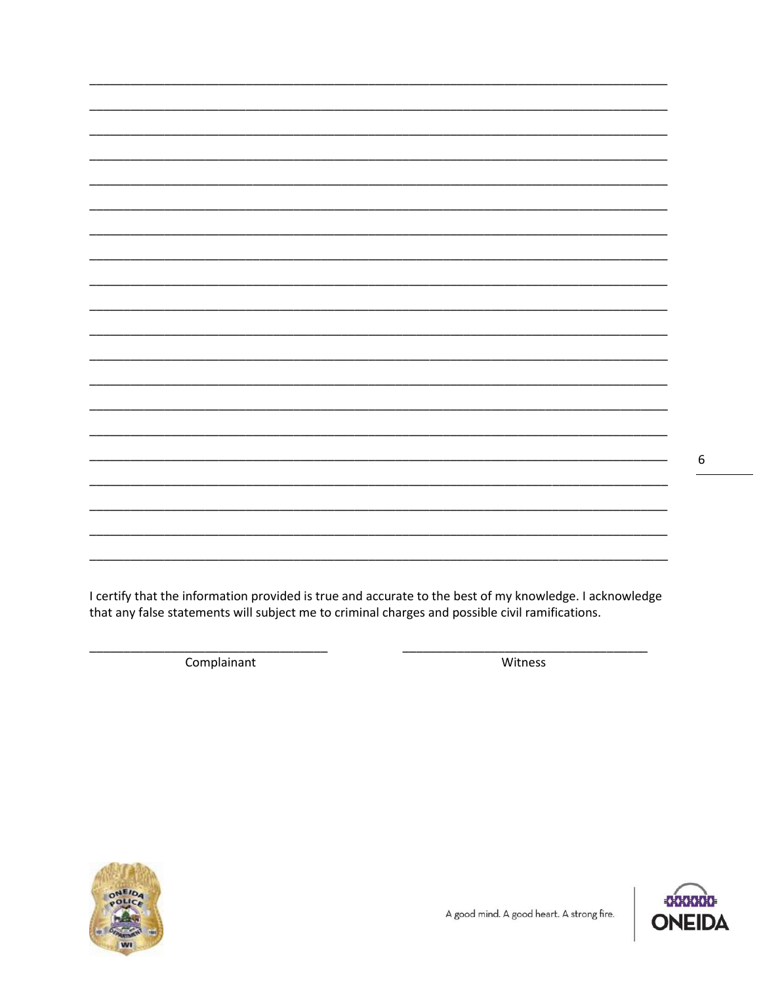I certify that the information provided is true and accurate to the best of my knowledge. I acknowledge that any false statements will subject me to criminal charges and possible civil ramifications.

 $\overline{\phantom{0}}$ 

Complainant

Witness

A good mind. A good heart. A strong fire.



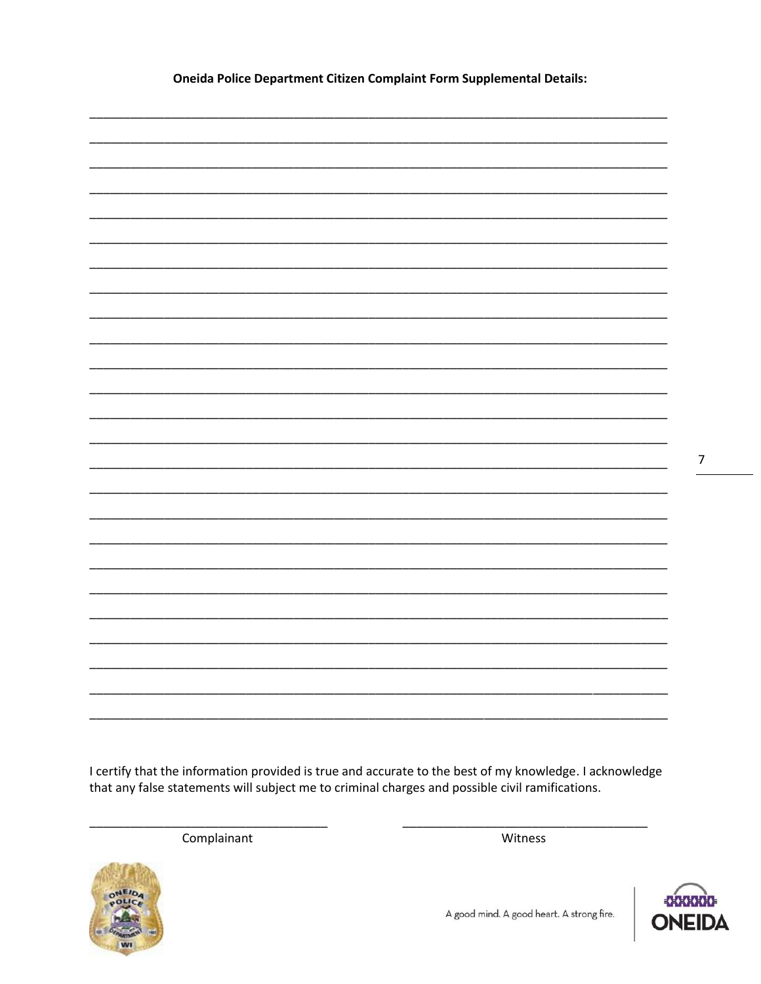



I certify that the information provided is true and accurate to the best of my knowledge. I acknowledge that any false statements will subject me to criminal charges and possible civil ramifications.

Complainant

Witness